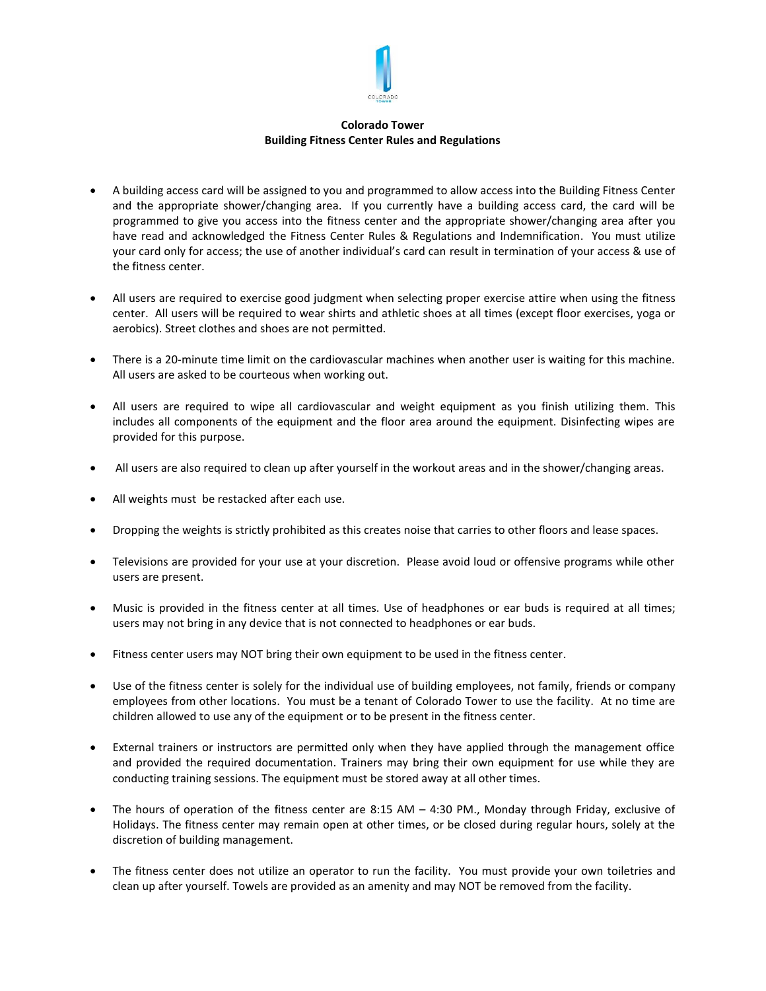

## **Colorado Tower Building Fitness Center Rules and Regulations**

- A building access card will be assigned to you and programmed to allow access into the Building Fitness Center and the appropriate shower/changing area. If you currently have a building access card, the card will be programmed to give you access into the fitness center and the appropriate shower/changing area after you have read and acknowledged the Fitness Center Rules & Regulations and Indemnification. You must utilize your card only for access; the use of another individual's card can result in termination of your access & use of the fitness center.
- All users are required to exercise good judgment when selecting proper exercise attire when using the fitness center. All users will be required to wear shirts and athletic shoes at all times (except floor exercises, yoga or aerobics). Street clothes and shoes are not permitted.
- There is a 20-minute time limit on the cardiovascular machines when another user is waiting for this machine. All users are asked to be courteous when working out.
- All users are required to wipe all cardiovascular and weight equipment as you finish utilizing them. This includes all components of the equipment and the floor area around the equipment. Disinfecting wipes are provided for this purpose.
- All users are also required to clean up after yourself in the workout areas and in the shower/changing areas.
- All weights must be restacked after each use.
- Dropping the weights is strictly prohibited as this creates noise that carries to other floors and lease spaces.
- Televisions are provided for your use at your discretion. Please avoid loud or offensive programs while other users are present.
- Music is provided in the fitness center at all times. Use of headphones or ear buds is required at all times; users may not bring in any device that is not connected to headphones or ear buds.
- Fitness center users may NOT bring their own equipment to be used in the fitness center.
- Use of the fitness center is solely for the individual use of building employees, not family, friends or company employees from other locations. You must be a tenant of Colorado Tower to use the facility. At no time are children allowed to use any of the equipment or to be present in the fitness center.
- External trainers or instructors are permitted only when they have applied through the management office and provided the required documentation. Trainers may bring their own equipment for use while they are conducting training sessions. The equipment must be stored away at all other times.
- The hours of operation of the fitness center are 8:15 AM 4:30 PM., Monday through Friday, exclusive of Holidays. The fitness center may remain open at other times, or be closed during regular hours, solely at the discretion of building management.
- The fitness center does not utilize an operator to run the facility. You must provide your own toiletries and clean up after yourself. Towels are provided as an amenity and may NOT be removed from the facility.